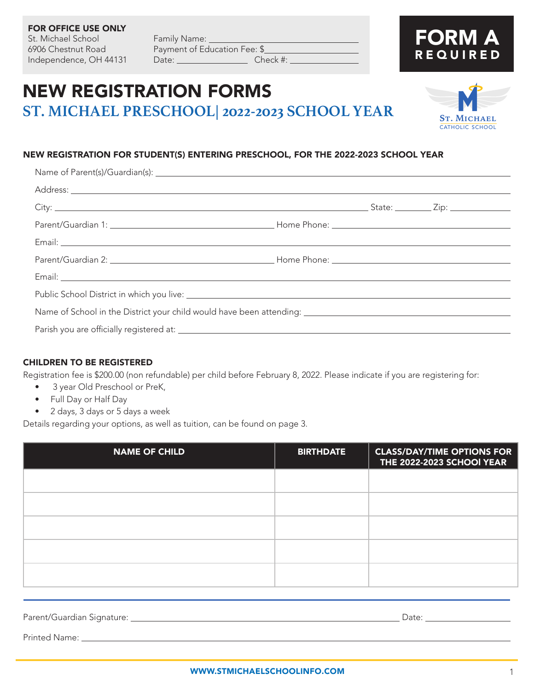### FOR OFFICE USE ONLY St. Michael School Family Name: \_\_\_\_\_

6906 Chestnut Road Payment of Education Fee: \$ Independence, OH 44131 Date: Check #: \_

### NEW REGISTRATION FORMS **ST. MICHAEL PRESCHOOL| 2022-2023 SCHOOL YEAR**

#### NEW REGISTRATION FOR STUDENT(S) ENTERING PRESCHOOL, FOR THE 2022-2023 SCHOOL YEAR

### CHILDREN TO BE REGISTERED

Registration fee is \$200.00 (non refundable) per child before February 8, 2022. Please indicate if you are registering for:

- 3 year Old Preschool or PreK,
- Full Day or Half Day
- 2 days, 3 days or 5 days a week

Details regarding your options, as well as tuition, can be found on page 3.

| <b>NAME OF CHILD</b> | <b>CLASS/DAY/TIME OPTIONS FOR</b><br><b>BIRTHDATE</b><br>THE 2022-2023 SCHOOI YEAR |  |
|----------------------|------------------------------------------------------------------------------------|--|
|                      |                                                                                    |  |
|                      |                                                                                    |  |
|                      |                                                                                    |  |
|                      |                                                                                    |  |
|                      |                                                                                    |  |

| Parent/Guardian Signature: _ | Date: |
|------------------------------|-------|
| Printed Name:                |       |



FORM A

REQUIRED

1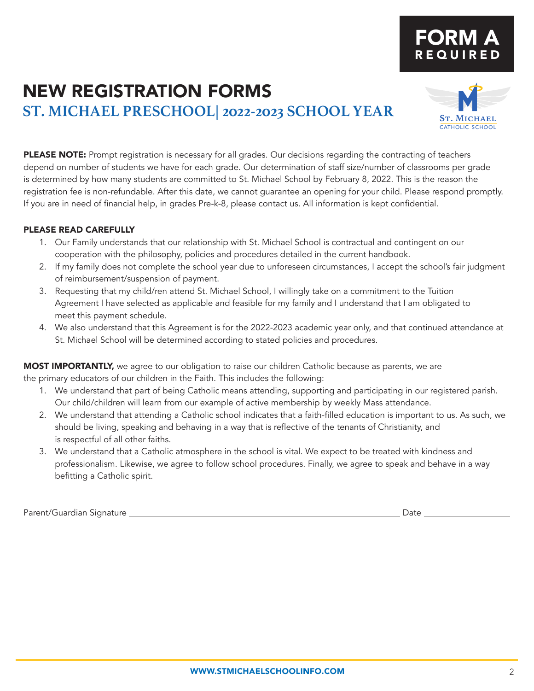### NEW REGISTRATION FORMS **ST. MICHAEL PRESCHOOL| 2022-2023 SCHOOL YEAR**

PLEASE NOTE: Prompt registration is necessary for all grades. Our decisions regarding the contracting of teachers depend on number of students we have for each grade. Our determination of staff size/number of classrooms per grade is determined by how many students are committed to St. Michael School by February 8, 2022. This is the reason the registration fee is non-refundable. After this date, we cannot guarantee an opening for your child. Please respond promptly. If you are in need of financial help, in grades Pre-k-8, please contact us. All information is kept confidential.

### PLEASE READ CAREFULLY

- 1. Our Family understands that our relationship with St. Michael School is contractual and contingent on our cooperation with the philosophy, policies and procedures detailed in the current handbook.
- 2. If my family does not complete the school year due to unforeseen circumstances, I accept the school's fair judgment of reimbursement/suspension of payment.
- 3. Requesting that my child/ren attend St. Michael School, I willingly take on a commitment to the Tuition Agreement I have selected as applicable and feasible for my family and I understand that I am obligated to meet this payment schedule.
- 4. We also understand that this Agreement is for the 2022-2023 academic year only, and that continued attendance at St. Michael School will be determined according to stated policies and procedures.

MOST IMPORTANTLY, we agree to our obligation to raise our children Catholic because as parents, we are the primary educators of our children in the Faith. This includes the following:

- 1. We understand that part of being Catholic means attending, supporting and participating in our registered parish. Our child/children will learn from our example of active membership by weekly Mass attendance.
- 2. We understand that attending a Catholic school indicates that a faith-filled education is important to us. As such, we should be living, speaking and behaving in a way that is reflective of the tenants of Christianity, and is respectful of all other faiths.
- 3. We understand that a Catholic atmosphere in the school is vital. We expect to be treated with kindness and professionalism. Likewise, we agree to follow school procedures. Finally, we agree to speak and behave in a way befitting a Catholic spirit.

Parent/Guardian Signature Date



catholic school

### FORM A REQUIRED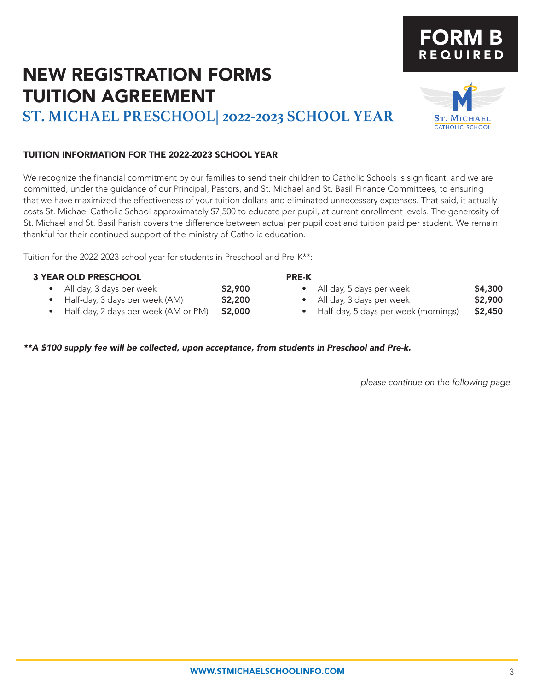# NEW REGISTRATION FORMS TUITION AGREEMENT

**ST. MICHAEL PRESCHOOL| 2022-2023 SCHOOL YEAR**

### TUITION INFORMATION FOR THE 2022-2023 SCHOOL YEAR

We recognize the financial commitment by our families to send their children to Catholic Schools is significant, and we are committed, under the guidance of our Principal, Pastors, and St. Michael and St. Basil Finance Committees, to ensuring that we have maximized the effectiveness of your tuition dollars and eliminated unnecessary expenses. That said, it actually costs St. Michael Catholic School approximately \$7,500 to educate per pupil, at current enrollment levels. The generosity of St. Michael and St. Basil Parish covers the difference between actual per pupil cost and tuition paid per student. We remain thankful for their continued support of the ministry of Catholic education.

PRE-K

Tuition for the 2022-2023 school year for students in Preschool and Pre-K\*\*:

### 3 YEAR OLD PRESCHOOL

- All day, 3 days per week **\$2,900**
- Half-day, 3 days per week (AM) **\$2,200**
- Half-day, 2 days per week (AM or PM) \$2,000

### *\*\*A \$100 supply fee will be collected, upon acceptance, from students in Preschool and Pre-k.*

*please continue on the following page*

• All day, 5 days per week **\$4,300** All day, 3 days per week **\$2,900** • Half-day, 5 days per week (mornings) \$2,450



# FORM B REQUIRED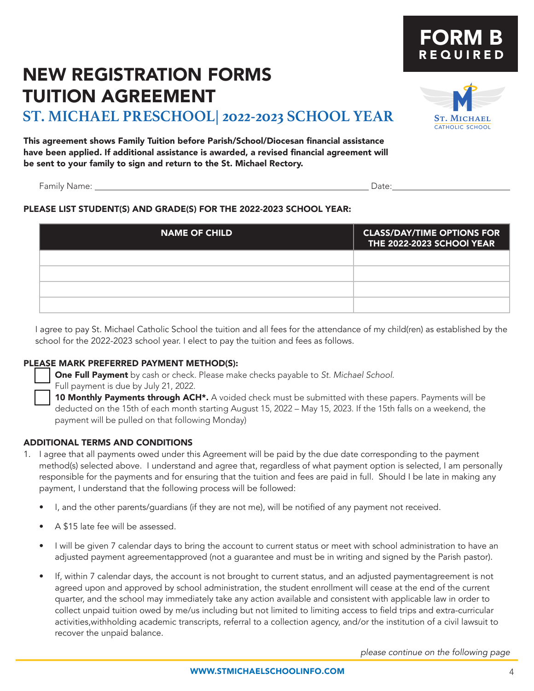## NEW REGISTRATION FORMS TUITION AGREEMENT

**ST. MICHAEL PRESCHOOL| 2022-2023 SCHOOL YEAR**

This agreement shows Family Tuition before Parish/School/Diocesan financial assistance have been applied. If additional assistance is awarded, a revised financial agreement will be sent to your family to sign and return to the St. Michael Rectory.

Family Name: Date:

### PLEASE LIST STUDENT(S) AND GRADE(S) FOR THE 2022-2023 SCHOOL YEAR:

| <b>NAME OF CHILD</b> | <b>CLASS/DAY/TIME OPTIONS FOR</b><br>THE 2022-2023 SCHOOI YEAR |
|----------------------|----------------------------------------------------------------|
|                      |                                                                |
|                      |                                                                |
|                      |                                                                |
|                      |                                                                |

I agree to pay St. Michael Catholic School the tuition and all fees for the attendance of my child(ren) as established by the school for the 2022-2023 school year. I elect to pay the tuition and fees as follows.

### PLEASE MARK PREFERRED PAYMENT METHOD(S):

**One Full Payment** by cash or check. Please make checks payable to *St. Michael School.* 

Full payment is due by July 21, 2022.

10 Monthly Payments through ACH\*. A voided check must be submitted with these papers. Payments will be deducted on the 15th of each month starting August 15, 2022 – May 15, 2023. If the 15th falls on a weekend, the payment will be pulled on that following Monday)

### ADDITIONAL TERMS AND CONDITIONS

- 1. I agree that all payments owed under this Agreement will be paid by the due date corresponding to the payment method(s) selected above. I understand and agree that, regardless of what payment option is selected, I am personally responsible for the payments and for ensuring that the tuition and fees are paid in full. Should I be late in making any payment, I understand that the following process will be followed:
	- I, and the other parents/guardians (if they are not me), will be notified of any payment not received.
	- A \$15 late fee will be assessed.
	- I will be given 7 calendar days to bring the account to current status or meet with school administration to have an adjusted payment agreementapproved (not a guarantee and must be in writing and signed by the Parish pastor).
	- If, within 7 calendar days, the account is not brought to current status, and an adjusted paymentagreement is not agreed upon and approved by school administration, the student enrollment will cease at the end of the current quarter, and the school may immediately take any action available and consistent with applicable law in order to collect unpaid tuition owed by me/us including but not limited to limiting access to field trips and extra-curricular activities,withholding academic transcripts, referral to a collection agency, and/or the institution of a civil lawsuit to recover the unpaid balance.

*please continue on the following page*

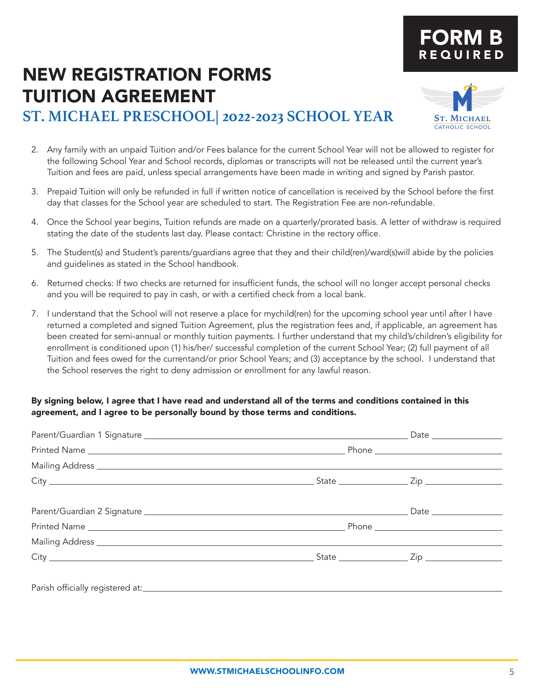# NEW REGISTRATION FORMS TUITION AGREEMENT

### **ST. MICHAEL PRESCHOOL| 2022-2023 SCHOOL YEAR**

- 2. Any family with an unpaid Tuition and/or Fees balance for the current School Year will not be allowed to register for the following School Year and School records, diplomas or transcripts will not be released until the current year's Tuition and fees are paid, unless special arrangements have been made in writing and signed by Parish pastor.
- 3. Prepaid Tuition will only be refunded in full if written notice of cancellation is received by the School before the first day that classes for the School year are scheduled to start. The Registration Fee are non-refundable.
- 4. Once the School year begins, Tuition refunds are made on a quarterly/prorated basis. A letter of withdraw is required stating the date of the students last day. Please contact: Christine in the rectory office.
- 5. The Student(s) and Student's parents/guardians agree that they and their child(ren)/ward(s)will abide by the policies and guidelines as stated in the School handbook.
- 6. Returned checks: If two checks are returned for insufficient funds, the school will no longer accept personal checks and you will be required to pay in cash, or with a certified check from a local bank.
- 7. I understand that the School will not reserve a place for mychild(ren) for the upcoming school year until after I have returned a completed and signed Tuition Agreement, plus the registration fees and, if applicable, an agreement has been created for semi-annual or monthly tuition payments. I further understand that my child's/children's eligibility for enrollment is conditioned upon (1) his/her/ successful completion of the current School Year; (2) full payment of all Tuition and fees owed for the currentand/or prior School Years; and (3) acceptance by the school. I understand that the School reserves the right to deny admission or enrollment for any lawful reason.

### By signing below, I agree that I have read and understand all of the terms and conditions contained in this agreement, and I agree to be personally bound by those terms and conditions.



FORM B REQUIRED